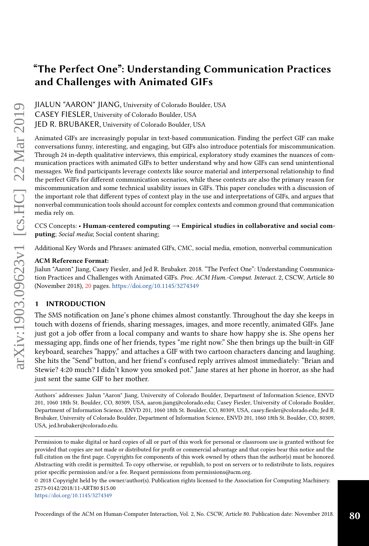# "The Perfect One": Understanding Communication Practices and Challenges with Animated GIFs

JIALUN "AARON" JIANG, University of Colorado Boulder, USA CASEY FIESLER, University of Colorado Boulder, USA JED R. BRUBAKER, University of Colorado Boulder, USA

Animated GIFs are increasingly popular in text-based communication. Finding the perfect GIF can make conversations funny, interesting, and engaging, but GIFs also introduce potentials for miscommunication. Through 24 in-depth qualitative interviews, this empirical, exploratory study examines the nuances of communication practices with animated GIFs to better understand why and how GIFs can send unintentional messages. We find participants leverage contexts like source material and interpersonal relationship to find the perfect GIFs for different communication scenarios, while these contexts are also the primary reason for miscommunication and some technical usability issues in GIFs. This paper concludes with a discussion of the important role that different types of context play in the use and interpretations of GIFs, and argues that nonverbal communication tools should account for complex contexts and common ground that communication media rely on.

CCS Concepts: • Human-centered computing  $\rightarrow$  Empirical studies in collaborative and social computing; Social media; Social content sharing;

Additional Key Words and Phrases: animated GIFs, CMC, social media, emotion, nonverbal communication

## ACM Reference Format:

Jialun "Aaron" Jiang, Casey Fiesler, and Jed R. Brubaker. 2018. "The Perfect One": Understanding Communication Practices and Challenges with Animated GIFs. Proc. ACM Hum.-Comput. Interact. 2, CSCW, Article 80 (November 2018), [20](#page-19-0) pages. <https://doi.org/10.1145/3274349>

## 1 INTRODUCTION

The SMS notification on Jane's phone chimes almost constantly. Throughout the day she keeps in touch with dozens of friends, sharing messages, images, and more recently, animated GIFs. Jane just got a job offer from a local company and wants to share how happy she is. She opens her messaging app, finds one of her friends, types "me right now." She then brings up the built-in GIF keyboard, searches "happy," and attaches a GIF with two cartoon characters dancing and laughing. She hits the "Send" button, and her friend's confused reply arrives almost immediately: "Brian and Stewie? 4:20 much? I didn't know you smoked pot." Jane stares at her phone in horror, as she had just sent the same GIF to her mother.

Authors' addresses: Jialun "Aaron" Jiang, University of Colorado Boulder, Department of Information Science, ENVD 201, 1060 18th St. Boulder, CO, 80309, USA, aaron.jiang@colorado.edu; Casey Fiesler, University of Colorado Boulder, Department of Information Science, ENVD 201, 1060 18th St. Boulder, CO, 80309, USA, casey.fiesler@colorado.edu; Jed R. Brubaker, University of Colorado Boulder, Department of Information Science, ENVD 201, 1060 18th St. Boulder, CO, 80309, USA, jed.brubaker@colorado.edu.

Permission to make digital or hard copies of all or part of this work for personal or classroom use is granted without fee provided that copies are not made or distributed for profit or commercial advantage and that copies bear this notice and the full citation on the first page. Copyrights for components of this work owned by others than the author(s) must be honored. Abstracting with credit is permitted. To copy otherwise, or republish, to post on servers or to redistribute to lists, requires prior specific permission and/or a fee. Request permissions from permissions@acm.org.

© 2018 Copyright held by the owner/author(s). Publication rights licensed to the Association for Computing Machinery. 2573-0142/2018/11-ART80 \$15.00

<https://doi.org/10.1145/3274349>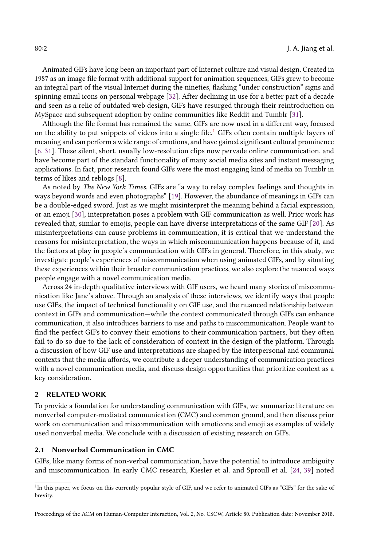Animated GIFs have long been an important part of Internet culture and visual design. Created in 1987 as an image file format with additional support for animation sequences, GIFs grew to become an integral part of the visual Internet during the nineties, flashing "under construction" signs and spinning email icons on personal webpage [\[32\]](#page-19-1). After declining in use for a better part of a decade and seen as a relic of outdated web design, GIFs have resurged through their reintroduction on MySpace and subsequent adoption by online communities like Reddit and Tumblr [\[31\]](#page-18-0).

Although the file format has remained the same, GIFs are now used in a different way, focused on the ability to put snippets of videos into a single file.[1](#page-1-0) GIFs often contain multiple layers of meaning and can perform a wide range of emotions, and have gained significant cultural prominence [\[6,](#page-17-0) [31\]](#page-18-0). These silent, short, usually low-resolution clips now pervade online communication, and have become part of the standard functionality of many social media sites and instant messaging applications. In fact, prior research found GIFs were the most engaging kind of media on Tumblr in terms of likes and reblogs [\[8\]](#page-17-1).

As noted by The New York Times, GIFs are "a way to relay complex feelings and thoughts in ways beyond words and even photographs" [\[19\]](#page-18-1). However, the abundance of meanings in GIFs can be a double-edged sword. Just as we might misinterpret the meaning behind a facial expression, or an emoji [\[30\]](#page-18-2), interpretation poses a problem with GIF communication as well. Prior work has revealed that, similar to emojis, people can have diverse interpretations of the same GIF [\[20\]](#page-18-3). As misinterpretations can cause problems in communication, it is critical that we understand the reasons for misinterpretation, the ways in which miscommunication happens because of it, and the factors at play in people's communication with GIFs in general. Therefore, in this study, we investigate people's experiences of miscommunication when using animated GIFs, and by situating these experiences within their broader communication practices, we also explore the nuanced ways people engage with a novel communication media.

Across 24 in-depth qualitative interviews with GIF users, we heard many stories of miscommunication like Jane's above. Through an analysis of these interviews, we identify ways that people use GIFs, the impact of technical functionality on GIF use, and the nuanced relationship between context in GIFs and communication—while the context communicated through GIFs can enhance communication, it also introduces barriers to use and paths to miscommunication. People want to find the perfect GIFs to convey their emotions to their communication partners, but they often fail to do so due to the lack of consideration of context in the design of the platform. Through a discussion of how GIF use and interpretations are shaped by the interpersonal and communal contexts that the media affords, we contribute a deeper understanding of communication practices with a novel communication media, and discuss design opportunities that prioritize context as a key consideration.

## 2 RELATED WORK

To provide a foundation for understanding communication with GIFs, we summarize literature on nonverbal computer-mediated communication (CMC) and common ground, and then discuss prior work on communication and miscommunication with emoticons and emoji as examples of widely used nonverbal media. We conclude with a discussion of existing research on GIFs.

## 2.1 Nonverbal Communication in CMC

GIFs, like many forms of non-verbal communication, have the potential to introduce ambiguity and miscommunication. In early CMC research, Kiesler et al. and Sproull et al. [\[24,](#page-18-4) [39\]](#page-19-2) noted

<span id="page-1-0"></span><sup>&</sup>lt;sup>1</sup>In this paper, we focus on this currently popular style of GIF, and we refer to animated GIFs as "GIFs" for the sake of brevity.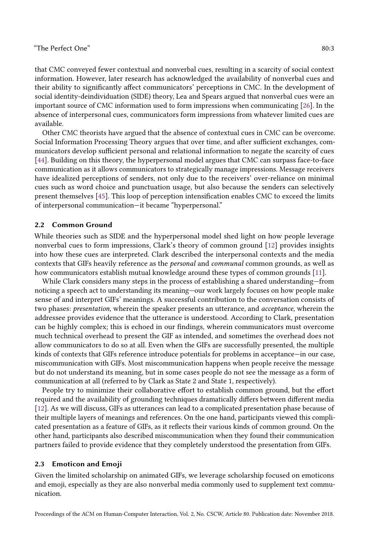that CMC conveyed fewer contextual and nonverbal cues, resulting in a scarcity of social context information. However, later research has acknowledged the availability of nonverbal cues and their ability to significantly affect communicators' perceptions in CMC. In the development of social identity-deindividuation (SIDE) theory, Lea and Spears argued that nonverbal cues were an important source of CMC information used to form impressions when communicating [\[26\]](#page-18-5). In the absence of interpersonal cues, communicators form impressions from whatever limited cues are available.

Other CMC theorists have argued that the absence of contextual cues in CMC can be overcome. Social Information Processing Theory argues that over time, and after sufficient exchanges, communicators develop sufficient personal and relational information to negate the scarcity of cues [\[44\]](#page-19-3). Building on this theory, the hyperpersonal model argues that CMC can surpass face-to-face communication as it allows communicators to strategically manage impressions. Message receivers have idealized perceptions of senders, not only due to the receivers' over-reliance on minimal cues such as word choice and punctuation usage, but also because the senders can selectively present themselves [\[45\]](#page-19-4). This loop of perception intensification enables CMC to exceed the limits of interpersonal communication—it became "hyperpersonal."

## 2.2 Common Ground

While theories such as SIDE and the hyperpersonal model shed light on how people leverage nonverbal cues to form impressions, Clark's theory of common ground [\[12\]](#page-18-6) provides insights into how these cues are interpreted. Clark described the interpersonal contexts and the media contexts that GIFs heavily reference as the personal and communal common grounds, as well as how communicators establish mutual knowledge around these types of common grounds [\[11\]](#page-18-7).

While Clark considers many steps in the process of establishing a shared understanding—from noticing a speech act to understanding its meaning—our work largely focuses on how people make sense of and interpret GIFs' meanings. A successful contribution to the conversation consists of two phases: presentation, wherein the speaker presents an utterance, and acceptance, wherein the addressee provides evidence that the utterance is understood. According to Clark, presentation can be highly complex; this is echoed in our findings, wherein communicators must overcome much technical overhead to present the GIF as intended, and sometimes the overhead does not allow communicators to do so at all. Even when the GIFs are successfully presented, the multiple kinds of contexts that GIFs reference introduce potentials for problems in acceptance—in our case, miscommunication with GIFs. Most miscommunication happens when people receive the message but do not understand its meaning, but in some cases people do not see the message as a form of communication at all (referred to by Clark as State 2 and State 1, respectively).

People try to minimize their collaborative effort to establish common ground, but the effort required and the availability of grounding techniques dramatically differs between different media [\[12\]](#page-18-6). As we will discuss, GIFs as utterances can lead to a complicated presentation phase because of their multiple layers of meanings and references. On the one hand, participants viewed this complicated presentation as a feature of GIFs, as it reflects their various kinds of common ground. On the other hand, participants also described miscommunication when they found their communication partners failed to provide evidence that they completely understood the presentation from GIFs.

#### 2.3 Emoticon and Emoji

Given the limited scholarship on animated GIFs, we leverage scholarship focused on emoticons and emoji, especially as they are also nonverbal media commonly used to supplement text communication.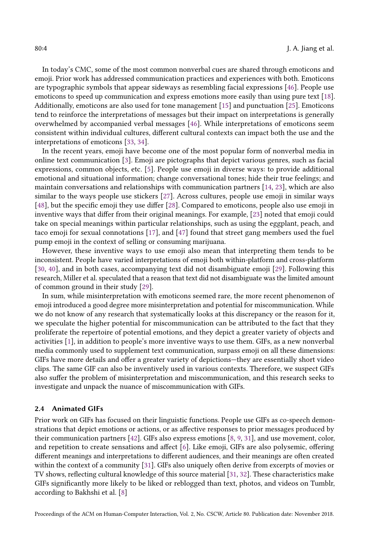In today's CMC, some of the most common nonverbal cues are shared through emoticons and emoji. Prior work has addressed communication practices and experiences with both. Emoticons are typographic symbols that appear sideways as resembling facial expressions [\[46\]](#page-19-5). People use emoticons to speed up communication and express emotions more easily than using pure text [\[18\]](#page-18-8). Additionally, emoticons are also used for tone management [\[15\]](#page-18-9) and punctuation [\[25\]](#page-18-10). Emoticons tend to reinforce the interpretations of messages but their impact on interpretations is generally overwhelmed by accompanied verbal messages [\[46\]](#page-19-5). While interpretations of emoticons seem consistent within individual cultures, different cultural contexts can impact both the use and the interpretations of emoticons [\[33,](#page-19-6) [34\]](#page-19-7).

In the recent years, emoji have become one of the most popular form of nonverbal media in online text communication [\[3\]](#page-17-2). Emoji are pictographs that depict various genres, such as facial expressions, common objects, etc. [\[5\]](#page-17-3). People use emoji in diverse ways: to provide additional emotional and situational information; change conversational tones; hide their true feelings; and maintain conversations and relationships with communication partners [\[14,](#page-18-11) [23\]](#page-18-12), which are also similar to the ways people use stickers [\[27\]](#page-18-13). Across cultures, people use emoji in similar ways [\[48\]](#page-19-8), but the specific emoji they use differ [\[28\]](#page-18-14). Compared to emoticons, people also use emoji in inventive ways that differ from their original meanings. For example, [\[23\]](#page-18-12) noted that emoji could take on special meanings within particular relationships, such as using the eggplant, peach, and taco emoji for sexual connotations [\[17\]](#page-18-15), and [\[47\]](#page-19-9) found that street gang members used the fuel pump emoji in the context of selling or consuming marijuana.

However, these inventive ways to use emoji also mean that interpreting them tends to be inconsistent. People have varied interpretations of emoji both within-platform and cross-platform [\[30,](#page-18-2) [40\]](#page-19-10), and in both cases, accompanying text did not disambiguate emoji [\[29\]](#page-18-16). Following this research, Miller et al. speculated that a reason that text did not disambiguate was the limited amount of common ground in their study [\[29\]](#page-18-16).

In sum, while misinterpretation with emoticons seemed rare, the more recent phenomenon of emoji introduced a good degree more misinterpretation and potential for miscommunication. While we do not know of any research that systematically looks at this discrepancy or the reason for it, we speculate the higher potential for miscommunication can be attributed to the fact that they proliferate the repertoire of potential emotions, and they depict a greater variety of objects and activities [\[1\]](#page-17-4), in addition to people's more inventive ways to use them. GIFs, as a new nonverbal media commonly used to supplement text communication, surpass emoji on all these dimensions: GIFs have more details and offer a greater variety of depictions—they are essentially short video clips. The same GIF can also be inventively used in various contexts. Therefore, we suspect GIFs also suffer the problem of misinterpretation and miscommunication, and this research seeks to investigate and unpack the nuance of miscommunication with GIFs.

## 2.4 Animated GIFs

Prior work on GIFs has focused on their linguistic functions. People use GIFs as co-speech demonstrations that depict emotions or actions, or as affective responses to prior messages produced by their communication partners [\[42\]](#page-19-11). GIFs also express emotions [\[8,](#page-17-1) [9,](#page-17-5) [31\]](#page-18-0), and use movement, color, and repetition to create sensations and affect [\[6\]](#page-17-0). Like emoji, GIFs are also polysemic, offering different meanings and interpretations to different audiences, and their meanings are often created within the context of a community [\[31\]](#page-18-0). GIFs also uniquely often derive from excerpts of movies or TV shows, reflecting cultural knowledge of this source material [\[31,](#page-18-0) [32\]](#page-19-1). These characteristics make GIFs significantly more likely to be liked or reblogged than text, photos, and videos on Tumblr, according to Bakhshi et al. [\[8\]](#page-17-1)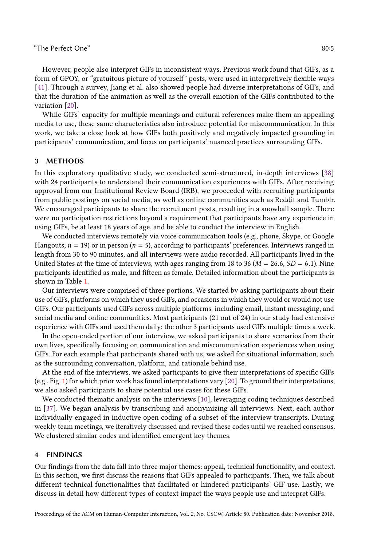$\degree$ The Perfect One" 80:5

However, people also interpret GIFs in inconsistent ways. Previous work found that GIFs, as a form of GPOY, or "gratuitous picture of yourself" posts, were used in interpretively flexible ways [\[41\]](#page-19-12). Through a survey, Jiang et al. also showed people had diverse interpretations of GIFs, and that the duration of the animation as well as the overall emotion of the GIFs contributed to the variation [\[20\]](#page-18-3).

While GIFs' capacity for multiple meanings and cultural references make them an appealing media to use, these same characteristics also introduce potential for miscommunication. In this work, we take a close look at how GIFs both positively and negatively impacted grounding in participants' communication, and focus on participants' nuanced practices surrounding GIFs.

## 3 METHODS

In this exploratory qualitative study, we conducted semi-structured, in-depth interviews [\[38\]](#page-19-13) with 24 participants to understand their communication experiences with GIFs. After receiving approval from our Institutional Review Board (IRB), we proceeded with recruiting participants from public postings on social media, as well as online communities such as Reddit and Tumblr. We encouraged participants to share the recruitment posts, resulting in a snowball sample. There were no participation restrictions beyond a requirement that participants have any experience in using GIFs, be at least 18 years of age, and be able to conduct the interview in English.

We conducted interviews remotely via voice communication tools (e.g., phone, Skype, or Google Hangouts;  $n = 19$ ) or in person ( $n = 5$ ), according to participants' preferences. Interviews ranged in length from 30 to 90 minutes, and all interviews were audio recorded. All participants lived in the United States at the time of interviews, with ages ranging from 18 to 36 ( $M = 26.6$ ,  $SD = 6.1$ ). Nine participants identified as male, and fifteen as female. Detailed information about the participants is shown in Table [1.](#page-5-0)

Our interviews were comprised of three portions. We started by asking participants about their use of GIFs, platforms on which they used GIFs, and occasions in which they would or would not use GIFs. Our participants used GIFs across multiple platforms, including email, instant messaging, and social media and online communities. Most participants (21 out of 24) in our study had extensive experience with GIFs and used them daily; the other 3 participants used GIFs multiple times a week.

In the open-ended portion of our interview, we asked participants to share scenarios from their own lives, specifically focusing on communication and miscommunication experiences when using GIFs. For each example that participants shared with us, we asked for situational information, such as the surrounding conversation, platform, and rationale behind use.

At the end of the interviews, we asked participants to give their interpretations of specific GIFs (e.g., Fig. [1\)](#page-5-1) for which prior work has found interpretations vary [\[20\]](#page-18-3). To ground their interpretations, we also asked participants to share potential use cases for these GIFs.

We conducted thematic analysis on the interviews [\[10\]](#page-18-17), leveraging coding techniques described in [\[37\]](#page-19-14). We began analysis by transcribing and anonymizing all interviews. Next, each author individually engaged in inductive open coding of a subset of the interview transcripts. During weekly team meetings, we iteratively discussed and revised these codes until we reached consensus. We clustered similar codes and identified emergent key themes.

#### 4 FINDINGS

Our findings from the data fall into three major themes: appeal, technical functionality, and context. In this section, we first discuss the reasons that GIFs appealed to participants. Then, we talk about different technical functionalities that facilitated or hindered participants' GIF use. Lastly, we discuss in detail how different types of context impact the ways people use and interpret GIFs.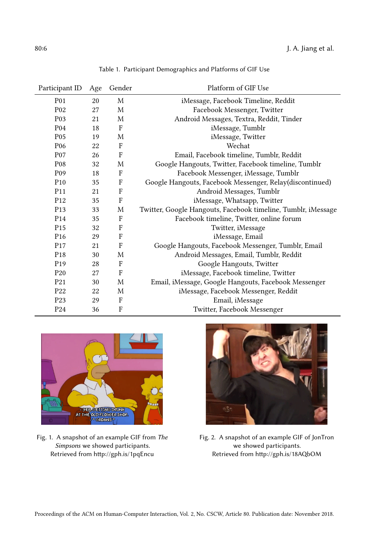<span id="page-5-0"></span>

| Participant ID   | Age | Gender | Platform of GIF Use                                           |
|------------------|-----|--------|---------------------------------------------------------------|
| <b>P01</b>       | 20  | M      | iMessage, Facebook Timeline, Reddit                           |
| P <sub>02</sub>  | 27  | M      | Facebook Messenger, Twitter                                   |
| P <sub>0</sub> 3 | 21  | M      | Android Messages, Textra, Reddit, Tinder                      |
| P <sub>04</sub>  | 18  | F      | iMessage, Tumblr                                              |
| P <sub>05</sub>  | 19  | M      | iMessage, Twitter                                             |
| P <sub>06</sub>  | 22  | F      | Wechat                                                        |
| P <sub>07</sub>  | 26  | F      | Email, Facebook timeline, Tumblr, Reddit                      |
| P <sub>08</sub>  | 32  | M      | Google Hangouts, Twitter, Facebook timeline, Tumblr           |
| P <sub>09</sub>  | 18  | F      | Facebook Messenger, iMessage, Tumblr                          |
| P <sub>10</sub>  | 35  | F      | Google Hangouts, Facebook Messenger, Relay(discontinued)      |
| P <sub>11</sub>  | 21  | F      | Android Messages, Tumblr                                      |
| P <sub>12</sub>  | 35  | F      | iMessage, Whatsapp, Twitter                                   |
| P <sub>13</sub>  | 33  | M      | Twitter, Google Hangouts, Facebook timeline, Tumblr, iMessage |
| P <sub>14</sub>  | 35  | F      | Facebook timeline, Twitter, online forum                      |
| P <sub>15</sub>  | 32  | F      | Twitter, iMessage                                             |
| P <sub>16</sub>  | 29  | F      | iMessage, Email                                               |
| P <sub>17</sub>  | 21  | F      | Google Hangouts, Facebook Messenger, Tumblr, Email            |
| P <sub>18</sub>  | 30  | M      | Android Messages, Email, Tumblr, Reddit                       |
| P <sub>19</sub>  | 28  | F      | Google Hangouts, Twitter                                      |
| P <sub>20</sub>  | 27  | F      | iMessage, Facebook timeline, Twitter                          |
| P <sub>21</sub>  | 30  | M      | Email, iMessage, Google Hangouts, Facebook Messenger          |
| P <sub>22</sub>  | 22  | M      | iMessage, Facebook Messenger, Reddit                          |
| P <sub>23</sub>  | 29  | F      | Email, iMessage                                               |
| P <sub>24</sub>  | 36  | F      | Twitter, Facebook Messenger                                   |

Table 1. Participant Demographics and Platforms of GIF Use

<span id="page-5-1"></span>

Fig. 1. A snapshot of an example GIF from The Simpsons we showed participants. Retrieved from http://gph.is/1pqEncu



Fig. 2. A snapshot of an example GIF of JonTron we showed participants. Retrieved from http://gph.is/18AQbOM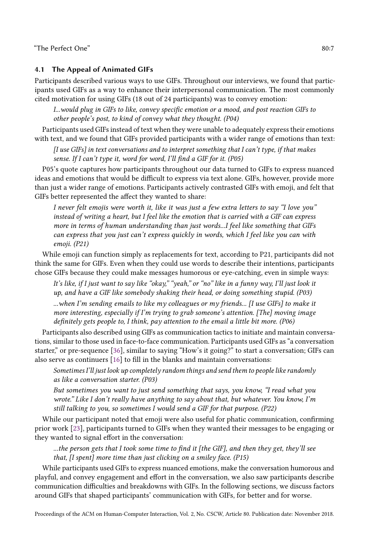# 4.1 The Appeal of Animated GIFs

Participants described various ways to use GIFs. Throughout our interviews, we found that participants used GIFs as a way to enhance their interpersonal communication. The most commonly cited motivation for using GIFs (18 out of 24 participants) was to convey emotion:

I...would plug in GIFs to like, convey specific emotion or a mood, and post reaction GIFs to other people's post, to kind of convey what they thought. (P04)

Participants used GIFs instead of text when they were unable to adequately express their emotions with text, and we found that GIFs provided participants with a wider range of emotions than text:

 $[I]$  use GIFs] in text conversations and to interpret something that I can't type, if that makes sense. If I can't type it, word for word, I'll find a GIF for it. (P05)

P05's quote captures how participants throughout our data turned to GIFs to express nuanced ideas and emotions that would be difficult to express via text alone. GIFs, however, provide more than just a wider range of emotions. Participants actively contrasted GIFs with emoji, and felt that GIFs better represented the affect they wanted to share:

I never felt emojis were worth it, like it was just a few extra letters to say "I love you" instead of writing a heart, but I feel like the emotion that is carried with a GIF can express more in terms of human understanding than just words...I feel like something that GIFs can express that you just can't express quickly in words, which I feel like you can with emoji. (P21)

While emoji can function simply as replacements for text, according to P21, participants did not think the same for GIFs. Even when they could use words to describe their intentions, participants chose GIFs because they could make messages humorous or eye-catching, even in simple ways:

It's like, if I just want to say like "okay," "yeah," or "no" like in a funny way, I'll just look it up, and have a GIF like somebody shaking their head, or doing something stupid. (P03) ...when I'm sending emails to like my colleagues or my friends... [I use GIFs] to make it more interesting, especially if I'm trying to grab someone's attention. [The] moving image definitely gets people to, I think, pay attention to the email a little bit more. (P06)

Participants also described using GIFs as communication tactics to initiate and maintain conversations, similar to those used in face-to-face communication. Participants used GIFs as "a conversation starter," or pre-sequence [\[36\]](#page-19-15), similar to saying "How's it going?" to start a conversation; GIFs can also serve as continuers [\[16\]](#page-18-18) to fill in the blanks and maintain conversations:

Sometimes I'll just look up completely random things and send them to people like randomly as like a conversation starter. (P03)

But sometimes you want to just send something that says, you know, "I read what you wrote." Like I don't really have anything to say about that, but whatever. You know, I'm still talking to you, so sometimes I would send a GIF for that purpose. (P22)

While our participant noted that emoji were also useful for phatic communication, confirming prior work [\[23\]](#page-18-12), participants turned to GIFs when they wanted their messages to be engaging or they wanted to signal effort in the conversation:

...the person gets that I took some time to find it [the GIF], and then they get, they'll see that, [I spent] more time than just clicking on a smiley face. (P15)

While participants used GIFs to express nuanced emotions, make the conversation humorous and playful, and convey engagement and effort in the conversation, we also saw participants describe communication difficulties and breakdowns with GIFs. In the following sections, we discuss factors around GIFs that shaped participants' communication with GIFs, for better and for worse.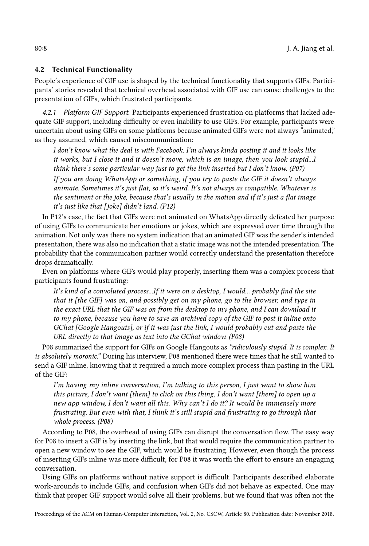## 4.2 Technical Functionality

People's experience of GIF use is shaped by the technical functionality that supports GIFs. Participants' stories revealed that technical overhead associated with GIF use can cause challenges to the presentation of GIFs, which frustrated participants.

4.2.1 Platform GIF Support. Participants experienced frustration on platforms that lacked adequate GIF support, including difficulty or even inability to use GIFs. For example, participants were uncertain about using GIFs on some platforms because animated GIFs were not always "animated," as they assumed, which caused miscommunication:

I don't know what the deal is with Facebook. I'm always kinda posting it and it looks like it works, but I close it and it doesn't move, which is an image, then you look stupid...I think there's some particular way just to get the link inserted but I don't know. (P07)

If you are doing WhatsApp or something, if you try to paste the GIF it doesn't always animate. Sometimes it's just flat, so it's weird. It's not always as compatible. Whatever is the sentiment or the joke, because that's usually in the motion and if it's just a flat image it's just like that  $[iode]$  didn't land.  $(P12)$ 

In P12's case, the fact that GIFs were not animated on WhatsApp directly defeated her purpose of using GIFs to communicate her emotions or jokes, which are expressed over time through the animation. Not only was there no system indication that an animated GIF was the sender's intended presentation, there was also no indication that a static image was not the intended presentation. The probability that the communication partner would correctly understand the presentation therefore drops dramatically.

Even on platforms where GIFs would play properly, inserting them was a complex process that participants found frustrating:

It's kind of a convoluted process...If it were on a desktop, I would... probably find the site that it [the GIF] was on, and possibly get on my phone, go to the browser, and type in the exact URL that the GIF was on from the desktop to my phone, and I can download it to my phone, because you have to save an archived copy of the GIF to post it inline onto GChat [Google Hangouts], or if it was just the link, I would probably cut and paste the URL directly to that image as text into the GChat window. (P08)

P08 summarized the support for GIFs on Google Hangouts as "ridiculously stupid. It is complex. It is absolutely moronic." During his interview, P08 mentioned there were times that he still wanted to send a GIF inline, knowing that it required a much more complex process than pasting in the URL of the GIF:

I'm having my inline conversation, I'm talking to this person, I just want to show him this picture, I don't want [them] to click on this thing, I don't want [them] to open up a new app window, I don't want all this. Why can't I do it? It would be immensely more frustrating. But even with that, I think it's still stupid and frustrating to go through that whole process. (P08)

According to P08, the overhead of using GIFs can disrupt the conversation flow. The easy way for P08 to insert a GIF is by inserting the link, but that would require the communication partner to open a new window to see the GIF, which would be frustrating. However, even though the process of inserting GIFs inline was more difficult, for P08 it was worth the effort to ensure an engaging conversation.

Using GIFs on platforms without native support is difficult. Participants described elaborate work-arounds to include GIFs, and confusion when GIFs did not behave as expected. One may think that proper GIF support would solve all their problems, but we found that was often not the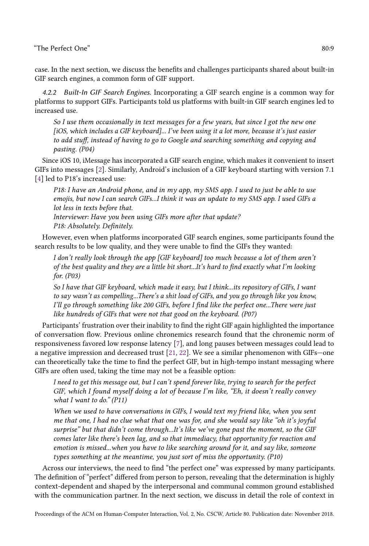case. In the next section, we discuss the benefits and challenges participants shared about built-in GIF search engines, a common form of GIF support.

4.2.2 Built-In GIF Search Engines. Incorporating a GIF search engine is a common way for platforms to support GIFs. Participants told us platforms with built-in GIF search engines led to increased use.

So I use them occasionally in text messages for a few years, but since I got the new one [iOS, which includes a GIF keyboard]... I've been using it a lot more, because it's just easier to add stuff, instead of having to go to Google and searching something and copying and pasting. (P04)

Since iOS 10, iMessage has incorporated a GIF search engine, which makes it convenient to insert GIFs into messages [\[2\]](#page-17-6). Similarly, Android's inclusion of a GIF keyboard starting with version 7.1 [\[4\]](#page-17-7) led to P18's increased use:

P18: I have an Android phone, and in my app, my SMS app. I used to just be able to use emojis, but now I can search GIFs...I think it was an update to my SMS app. I used GIFs a lot less in texts before that.

Interviewer: Have you been using GIFs more after that update? P18: Absolutely. Definitely.

However, even when platforms incorporated GIF search engines, some participants found the search results to be low quality, and they were unable to find the GIFs they wanted:

I don't really look through the app [GIF keyboard] too much because a lot of them aren't of the best quality and they are a little bit short...It's hard to find exactly what I'm looking for. (P03)

So I have that GIF keyboard, which made it easy, but I think...its repository of GIFs, I want to say wasn't as compelling...There's a shit load of GIFs, and you go through like you know, I'll go through something like 200 GIFs, before I find like the perfect one...There were just like hundreds of GIFs that were not that good on the keyboard. (P07)

Participants' frustration over their inability to find the right GIF again highlighted the importance of conversation flow. Previous online chronemics research found that the chronemic norm of responsiveness favored low response latency [\[7\]](#page-17-8), and long pauses between messages could lead to a negative impression and decreased trust [\[21,](#page-18-19) [22\]](#page-18-20). We see a similar phenomenon with GIFs—one can theoretically take the time to find the perfect GIF, but in high-tempo instant messaging where GIFs are often used, taking the time may not be a feasible option:

I need to get this message out, but I can't spend forever like, trying to search for the perfect GIF, which I found myself doing a lot of because I'm like, "Eh, it doesn't really convey what I want to do."  $(P11)$ 

When we used to have conversations in GIFs, I would text my friend like, when you sent me that one, I had no clue what that one was for, and she would say like "oh it's joyful surprise" but that didn't come through...It's like we've gone past the moment, so the GIF comes later like there's been lag, and so that immediacy, that opportunity for reaction and emotion is missed...when you have to like searching around for it, and say like, someone types something at the meantime, you just sort of miss the opportunity. (P10)

Across our interviews, the need to find "the perfect one" was expressed by many participants. The definition of "perfect" differed from person to person, revealing that the determination is highly context-dependent and shaped by the interpersonal and communal common ground established with the communication partner. In the next section, we discuss in detail the role of context in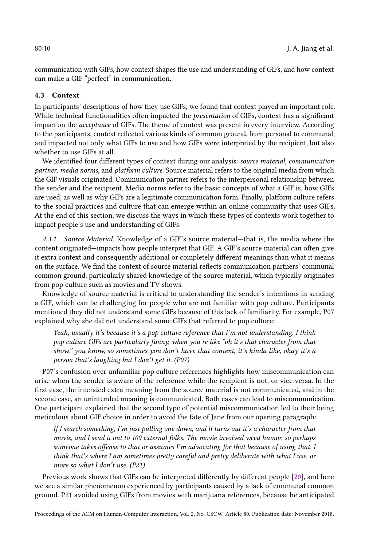communication with GIFs, how context shapes the use and understanding of GIFs, and how context can make a GIF "perfect" in communication.

## 4.3 Context

In participants' descriptions of how they use GIFs, we found that context played an important role. While technical functionalities often impacted the *presentation* of GIFs, context has a significant impact on the acceptance of GIFs. The theme of context was present in every interview. According to the participants, context reflected various kinds of common ground, from personal to communal, and impacted not only what GIFs to use and how GIFs were interpreted by the recipient, but also whether to use GIFs at all.

We identified four different types of context during our analysis: source material, communication partner, media norms, and platform culture. Source material refers to the original media from which the GIF visuals originated. Communication partner refers to the interpersonal relationship between the sender and the recipient. Media norms refer to the basic concepts of what a GIF is, how GIFs are used, as well as why GIFs are a legitimate communication form. Finally, platform culture refers to the social practices and culture that can emerge within an online community that uses GIFs. At the end of this section, we discuss the ways in which these types of contexts work together to impact people's use and understanding of GIFs.

4.3.1 Source Material. Knowledge of a GIF's source material—that is, the media where the content originated—impacts how people interpret that GIF. A GIF's source material can often give it extra context and consequently additional or completely different meanings than what it means on the surface. We find the context of source material reflects communication partners' communal common ground, particularly shared knowledge of the source material, which typically originates from pop culture such as movies and TV shows.

Knowledge of source material is critical to understanding the sender's intentions in sending a GIF, which can be challenging for people who are not familiar with pop culture. Participants mentioned they did not understand some GIFs because of this lack of familiarity. For example, P07 explained why she did not understand some GIFs that referred to pop culture:

Yeah, usually it's because it's a pop culture reference that I'm not understanding. I think pop culture GIFs are particularly funny, when you're like "oh it's that character from that show," you know, so sometimes you don't have that context, it's kinda like, okay it's a person that's laughing but I don't get it. (P07)

P07's confusion over unfamiliar pop culture references highlights how miscommunication can arise when the sender is aware of the reference while the recipient is not, or vice versa. In the first case, the intended extra meaning from the source material is not communicated, and in the second case, an unintended meaning is communicated. Both cases can lead to miscommunication. One participant explained that the second type of potential miscommunication led to their being meticulous about GIF choice in order to avoid the fate of Jane from our opening paragraph:

If I search something, I'm just pulling one down, and it turns out it's a character from that movie, and I send it out to 100 external folks. The movie involved weed humor, so perhaps someone takes offense to that or assumes I'm advocating for that because of using that. I think that's where I am sometimes pretty careful and pretty deliberate with what I use, or more so what I don't use. (P21)

Previous work shows that GIFs can be interpreted differently by different people [\[20\]](#page-18-3), and here we see a similar phenomenon experienced by participants caused by a lack of communal common ground. P21 avoided using GIFs from movies with marijuana references, because he anticipated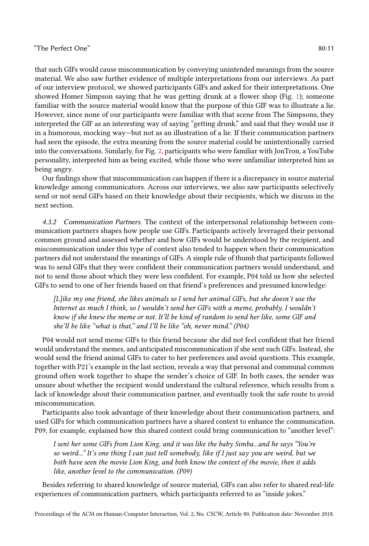that such GIFs would cause miscommunication by conveying unintended meanings from the source material. We also saw further evidence of multiple interpretations from our interviews. As part of our interview protocol, we showed participants GIFs and asked for their interpretations. One showed Homer Simpson saying that he was getting drunk at a flower shop (Fig. [1\)](#page-5-1); someone familiar with the source material would know that the purpose of this GIF was to illustrate a lie. However, since none of our participants were familiar with that scene from The Simpsons, they interpreted the GIF as an interesting way of saying "getting drunk," and said that they would use it in a humorous, mocking way—but not as an illustration of a lie. If their communication partners had seen the episode, the extra meaning from the source material could be unintentionally carried into the conversations. Similarly, for Fig. [2,](#page-5-1) participants who were familiar with JonTron, a YouTube personality, interpreted him as being excited, while those who were unfamiliar interpreted him as being angry.

Our findings show that miscommunication can happen if there is a discrepancy in source material knowledge among communicators. Across our interviews, we also saw participants selectively send or not send GIFs based on their knowledge about their recipients, which we discuss in the next section.

4.3.2 Communication Partners. The context of the interpersonal relationship between communication partners shapes how people use GIFs. Participants actively leveraged their personal common ground and assessed whether and how GIFs would be understood by the recipient, and miscommunication under this type of context also tended to happen when their communication partners did not understand the meanings of GIFs. A simple rule of thumb that participants followed was to send GIFs that they were confident their communication partners would understand, and not to send those about which they were less confident. For example, P04 told us how she selected GIFs to send to one of her friends based on that friend's preferences and presumed knowledge:

[L]ike my one friend, she likes animals so I send her animal GIFs, but she doesn't use the Internet as much I think, so I wouldn't send her GIFs with a meme, probably. I wouldn't know if she knew the meme or not. It'll be kind of random to send her like, some GIF and she'll be like "what is that," and I'll be like "oh, never mind." (P04)

P04 would not send meme GIFs to this friend because she did not feel confident that her friend would understand the memes, and anticipated miscommunication if she sent such GIFs. Instead, she would send the friend animal GIFs to cater to her preferences and avoid questions. This example, together with P21's example in the last section, reveals a way that personal and communal common ground often work together to shape the sender's choice of GIF. In both cases, the sender was unsure about whether the recipient would understand the cultural reference, which results from a lack of knowledge about their communication partner, and eventually took the safe route to avoid miscommunication.

Participants also took advantage of their knowledge about their communication partners, and used GIFs for which communication partners have a shared context to enhance the communication. P09, for example, explained how this shared context could bring communication to "another level":

I sent her some GIFs from Lion King, and it was like the baby Simba...and he says "You're so weird..." It's one thing I can just tell somebody, like if I just say you are weird, but we both have seen the movie Lion King, and both know the context of the movie, then it adds like, another level to the communication. (P09)

Besides referring to shared knowledge of source material, GIFs can also refer to shared real-life experiences of communication partners, which participants referred to as "inside jokes."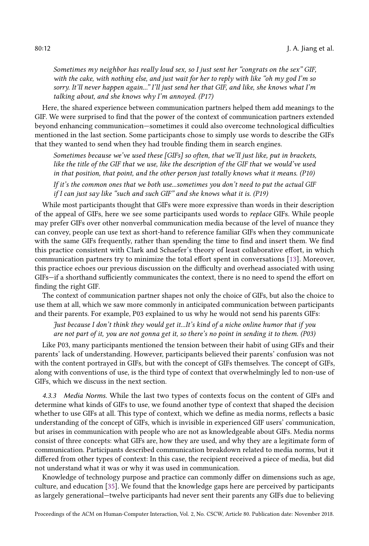Sometimes my neighbor has really loud sex, so I just sent her "congrats on the sex" GIF, with the cake, with nothing else, and just wait for her to reply with like "oh my god I'm so sorry. It'll never happen again..." I'll just send her that GIF, and like, she knows what I'm talking about, and she knows why I'm annoyed. (P17)

Here, the shared experience between communication partners helped them add meanings to the GIF. We were surprised to find that the power of the context of communication partners extended beyond enhancing communication—sometimes it could also overcome technological difficulties mentioned in the last section. Some participants chose to simply use words to describe the GIFs that they wanted to send when they had trouble finding them in search engines.

Sometimes because we've used these [GIFs] so often, that we'll just like, put in brackets, like the title of the GIF that we use, like the description of the GIF that we would've used in that position, that point, and the other person just totally knows what it means. (P10)

If it's the common ones that we both use...sometimes you don't need to put the actual GIF if I can just say like "such and such GIF" and she knows what it is. (P19)

While most participants thought that GIFs were more expressive than words in their description of the appeal of GIFs, here we see some participants used words to replace GIFs. While people may prefer GIFs over other nonverbal communication media because of the level of nuance they can convey, people can use text as short-hand to reference familiar GIFs when they communicate with the same GIFs frequently, rather than spending the time to find and insert them. We find this practice consistent with Clark and Schaefer's theory of least collaborative effort, in which communication partners try to minimize the total effort spent in conversations [\[13\]](#page-18-21). Moreover, this practice echoes our previous discussion on the difficulty and overhead associated with using GIFs—if a shorthand sufficiently communicates the context, there is no need to spend the effort on finding the right GIF.

The context of communication partner shapes not only the choice of GIFs, but also the choice to use them at all, which we saw more commonly in anticipated communication between participants and their parents. For example, P03 explained to us why he would not send his parents GIFs:

Just because I don't think they would get it...It's kind of a niche online humor that if you are not part of it, you are not gonna get it, so there's no point in sending it to them. (P03)

Like P03, many participants mentioned the tension between their habit of using GIFs and their parents' lack of understanding. However, participants believed their parents' confusion was not with the content portrayed in GIFs, but with the concept of GIFs themselves. The concept of GIFs, along with conventions of use, is the third type of context that overwhelmingly led to non-use of GIFs, which we discuss in the next section.

4.3.3 Media Norms. While the last two types of contexts focus on the content of GIFs and determine what kinds of GIFs to use, we found another type of context that shaped the decision whether to use GIFs at all. This type of context, which we define as media norms, reflects a basic understanding of the concept of GIFs, which is invisible in experienced GIF users' communication, but arises in communication with people who are not as knowledgeable about GIFs. Media norms consist of three concepts: what GIFs are, how they are used, and why they are a legitimate form of communication. Participants described communication breakdown related to media norms, but it differed from other types of context: In this case, the recipient received a piece of media, but did not understand what it was or why it was used in communication.

Knowledge of technology purpose and practice can commonly differ on dimensions such as age, culture, and education [\[35\]](#page-19-16). We found that the knowledge gaps here are perceived by participants as largely generational—twelve participants had never sent their parents any GIFs due to believing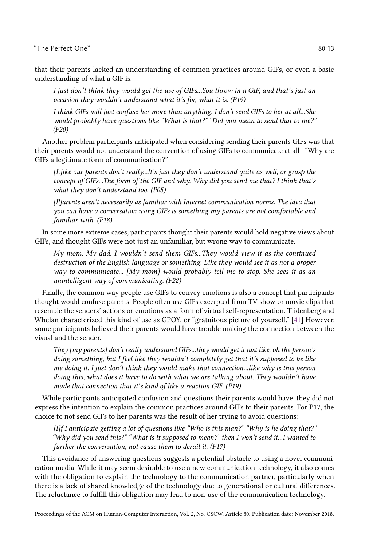that their parents lacked an understanding of common practices around GIFs, or even a basic understanding of what a GIF is.

I just don't think they would get the use of GIFs...You throw in a GIF, and that's just an occasion they wouldn't understand what it's for, what it is. (P19)

I think GIFs will just confuse her more than anything. I don't send GIFs to her at all...She would probably have questions like "What is that?" "Did you mean to send that to me?" (P20)

Another problem participants anticipated when considering sending their parents GIFs was that their parents would not understand the convention of using GIFs to communicate at all—"Why are GIFs a legitimate form of communication?"

[L]ike our parents don't really...It's just they don't understand quite as well, or grasp the concept of GIFs...The form of the GIF and why. Why did you send me that? I think that's what they don't understand too. (P05)

[P]arents aren't necessarily as familiar with Internet communication norms. The idea that you can have a conversation using GIFs is something my parents are not comfortable and familiar with. (P18)

In some more extreme cases, participants thought their parents would hold negative views about GIFs, and thought GIFs were not just an unfamiliar, but wrong way to communicate.

My mom. My dad. I wouldn't send them GIFs...They would view it as the continued destruction of the English language or something. Like they would see it as not a proper way to communicate... [My mom] would probably tell me to stop. She sees it as an unintelligent way of communicating. (P22)

Finally, the common way people use GIFs to convey emotions is also a concept that participants thought would confuse parents. People often use GIFs excerpted from TV show or movie clips that resemble the senders' actions or emotions as a form of virtual self-representation. Tiidenberg and Whelan characterized this kind of use as GPOY, or "gratuitous picture of yourself." [\[41\]](#page-19-12) However, some participants believed their parents would have trouble making the connection between the visual and the sender.

They [my parents] don't really understand GIFs...they would get it just like, oh the person's doing something, but I feel like they wouldn't completely get that it's supposed to be like me doing it. I just don't think they would make that connection...like why is this person doing this, what does it have to do with what we are talking about. They wouldn't have made that connection that it's kind of like a reaction GIF. (P19)

While participants anticipated confusion and questions their parents would have, they did not express the intention to explain the common practices around GIFs to their parents. For P17, the choice to not send GIFs to her parents was the result of her trying to avoid questions:

[I]f I anticipate getting a lot of questions like "Who is this man?" "Why is he doing that?" "Why did you send this?" "What is it supposed to mean?" then I won't send it...I wanted to further the conversation, not cause them to derail it. (P17)

This avoidance of answering questions suggests a potential obstacle to using a novel communication media. While it may seem desirable to use a new communication technology, it also comes with the obligation to explain the technology to the communication partner, particularly when there is a lack of shared knowledge of the technology due to generational or cultural differences. The reluctance to fulfill this obligation may lead to non-use of the communication technology.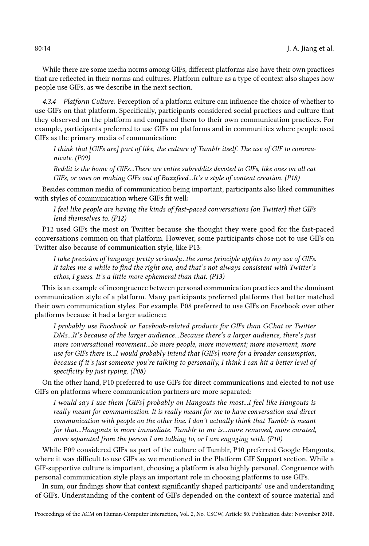While there are some media norms among GIFs, different platforms also have their own practices that are reflected in their norms and cultures. Platform culture as a type of context also shapes how people use GIFs, as we describe in the next section.

4.3.4 Platform Culture. Perception of a platform culture can influence the choice of whether to use GIFs on that platform. Specifically, participants considered social practices and culture that they observed on the platform and compared them to their own communication practices. For example, participants preferred to use GIFs on platforms and in communities where people used GIFs as the primary media of communication:

I think that [GIFs are] part of like, the culture of Tumblr itself. The use of GIF to communicate. (P09)

Reddit is the home of GIFs...There are entire subreddits devoted to GIFs, like ones on all cat GIFs, or ones on making GIFs out of Buzzfeed...It's a style of content creation. (P18)

Besides common media of communication being important, participants also liked communities with styles of communication where GIFs fit well:

I feel like people are having the kinds of fast-paced conversations [on Twitter] that GIFs lend themselves to. (P12)

P12 used GIFs the most on Twitter because she thought they were good for the fast-paced conversations common on that platform. However, some participants chose not to use GIFs on Twitter also because of communication style, like P13:

I take precision of language pretty seriously...the same principle applies to my use of GIFs. It takes me a while to find the right one, and that's not always consistent with Twitter's ethos, I guess. It's a little more ephemeral than that. (P13)

This is an example of incongruence between personal communication practices and the dominant communication style of a platform. Many participants preferred platforms that better matched their own communication styles. For example, P08 preferred to use GIFs on Facebook over other platforms because it had a larger audience:

I probably use Facebook or Facebook-related products for GIFs than GChat or Twitter DMs...It's because of the larger audience...Because there's a larger audience, there's just more conversational movement...So more people, more movement; more movement, more use for GIFs there is...I would probably intend that [GIFs] more for a broader consumption, because if it's just someone you're talking to personally, I think I can hit a better level of specificity by just typing. (P08)

On the other hand, P10 preferred to use GIFs for direct communications and elected to not use GIFs on platforms where communication partners are more separated:

I would say I use them [GIFs] probably on Hangouts the most...I feel like Hangouts is really meant for communication. It is really meant for me to have conversation and direct communication with people on the other line. I don't actually think that Tumblr is meant for that...Hangouts is more immediate. Tumblr to me is...more removed, more curated, more separated from the person I am talking to, or I am engaging with. (P10)

While P09 considered GIFs as part of the culture of Tumblr, P10 preferred Google Hangouts, where it was difficult to use GIFs as we mentioned in the Platform GIF Support section. While a GIF-supportive culture is important, choosing a platform is also highly personal. Congruence with personal communication style plays an important role in choosing platforms to use GIFs.

In sum, our findings show that context significantly shaped participants' use and understanding of GIFs. Understanding of the content of GIFs depended on the context of source material and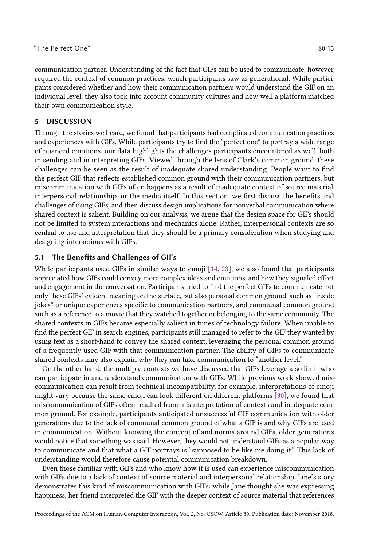communication partner. Understanding of the fact that GIFs can be used to communicate, however, required the context of common practices, which participants saw as generational. While participants considered whether and how their communication partners would understand the GIF on an individual level, they also took into account community cultures and how well a platform matched their own communication style.

## 5 DISCUSSION

Through the stories we heard, we found that participants had complicated communication practices and experiences with GIFs. While participants try to find the "perfect one" to portray a wide range of nuanced emotions, our data highlights the challenges participants encountered as well, both in sending and in interpreting GIFs. Viewed through the lens of Clark's common ground, these challenges can be seen as the result of inadequate shared understanding. People want to find the perfect GIF that reflects established common ground with their communication partners, but miscommunication with GIFs often happens as a result of inadequate context of source material, interpersonal relationship, or the media itself. In this section, we first discuss the benefits and challenges of using GIFs, and then discuss design implications for nonverbal communication where shared context is salient. Building on our analysis, we argue that the design space for GIFs should not be limited to system interactions and mechanics alone. Rather, interpersonal contexts are so central to use and interpretation that they should be a primary consideration when studying and designing interactions with GIFs.

# 5.1 The Benefits and Challenges of GIFs

While participants used GIFs in similar ways to emoji [\[14,](#page-18-11) [23\]](#page-18-12), we also found that participants appreciated how GIFs could convey more complex ideas and emotions, and how they signaled effort and engagement in the conversation. Participants tried to find the perfect GIFs to communicate not only these GIFs' evident meaning on the surface, but also personal common ground, such as "inside jokes" or unique experiences specific to communication partners, and communal common ground such as a reference to a movie that they watched together or belonging to the same community. The shared contexts in GIFs became especially salient in times of technology failure. When unable to find the perfect GIF in search engines, participants still managed to refer to the GIF they wanted by using text as a short-hand to convey the shared context, leveraging the personal common ground of a frequently used GIF with that communication partner. The ability of GIFs to communicate shared contexts may also explain why they can take communication to "another level."

On the other hand, the multiple contexts we have discussed that GIFs leverage also limit who can participate in and understand communication with GIFs. While previous work showed miscommunication can result from technical incompatibility, for example, interpretations of emoji might vary because the same emoji can look different on different platforms [\[30\]](#page-18-2), we found that miscommunication of GIFs often resulted from misinterpretation of contexts and inadequate common ground. For example, participants anticipated unsuccessful GIF communication with older generations due to the lack of communal common ground of what a GIF is and why GIFs are used in communication. Without knowing the concept of and norms around GIFs, older generations would notice that something was said. However, they would not understand GIFs as a popular way to communicate and that what a GIF portrays is "supposed to be like me doing it." This lack of understanding would therefore cause potential communication breakdown.

Even those familiar with GIFs and who know how it is used can experience miscommunication with GIFs due to a lack of context of source material and interpersonal relationship. Jane's story demonstrates this kind of miscommunication with GIFs: while Jane thought she was expressing happiness, her friend interpreted the GIF with the deeper context of source material that references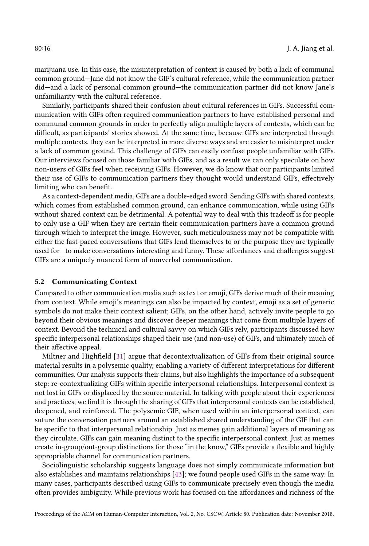marijuana use. In this case, the misinterpretation of context is caused by both a lack of communal common ground—Jane did not know the GIF's cultural reference, while the communication partner did—and a lack of personal common ground—the communication partner did not know Jane's unfamiliarity with the cultural reference.

Similarly, participants shared their confusion about cultural references in GIFs. Successful communication with GIFs often required communication partners to have established personal and communal common grounds in order to perfectly align multiple layers of contexts, which can be difficult, as participants' stories showed. At the same time, because GIFs are interpreted through multiple contexts, they can be interpreted in more diverse ways and are easier to misinterpret under a lack of common ground. This challenge of GIFs can easily confuse people unfamiliar with GIFs. Our interviews focused on those familiar with GIFs, and as a result we can only speculate on how non-users of GIFs feel when receiving GIFs. However, we do know that our participants limited their use of GIFs to communication partners they thought would understand GIFs, effectively limiting who can benefit.

As a context-dependent media, GIFs are a double-edged sword. Sending GIFs with shared contexts, which comes from established common ground, can enhance communication, while using GIFs without shared context can be detrimental. A potential way to deal with this tradeoff is for people to only use a GIF when they are certain their communication partners have a common ground through which to interpret the image. However, such meticulousness may not be compatible with either the fast-paced conversations that GIFs lend themselves to or the purpose they are typically used for—to make conversations interesting and funny. These affordances and challenges suggest GIFs are a uniquely nuanced form of nonverbal communication.

#### 5.2 Communicating Context

Compared to other communication media such as text or emoji, GIFs derive much of their meaning from context. While emoji's meanings can also be impacted by context, emoji as a set of generic symbols do not make their context salient; GIFs, on the other hand, actively invite people to go beyond their obvious meanings and discover deeper meanings that come from multiple layers of context. Beyond the technical and cultural savvy on which GIFs rely, participants discussed how specific interpersonal relationships shaped their use (and non-use) of GIFs, and ultimately much of their affective appeal.

Miltner and Highfield [\[31\]](#page-18-0) argue that decontextualization of GIFs from their original source material results in a polysemic quality, enabling a variety of different interpretations for different communities. Our analysis supports their claims, but also highlights the importance of a subsequent step: re-contextualizing GIFs within specific interpersonal relationships. Interpersonal context is not lost in GIFs or displaced by the source material. In talking with people about their experiences and practices, we find it is through the sharing of GIFs that interpersonal contexts can be established, deepened, and reinforced. The polysemic GIF, when used within an interpersonal context, can suture the conversation partners around an established shared understanding of the GIF that can be specific to that interpersonal relationship. Just as memes gain additional layers of meaning as they circulate, GIFs can gain meaning distinct to the specific interpersonal context. Just as memes create in-group/out-group distinctions for those "in the know," GIFs provide a flexible and highly appropriable channel for communication partners.

Sociolinguistic scholarship suggests language does not simply communicate information but also establishes and maintains relationships [\[43\]](#page-19-17); we found people used GIFs in the same way. In many cases, participants described using GIFs to communicate precisely even though the media often provides ambiguity. While previous work has focused on the affordances and richness of the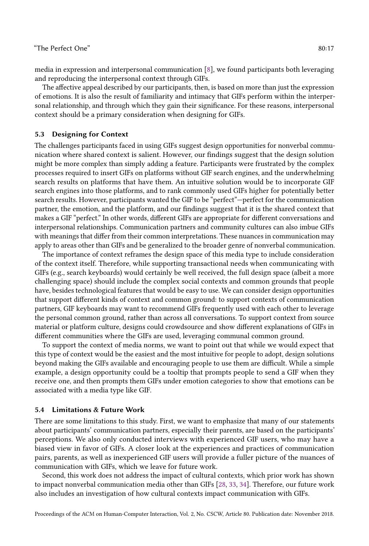media in expression and interpersonal communication [\[8\]](#page-17-1), we found participants both leveraging and reproducing the interpersonal context through GIFs.

The affective appeal described by our participants, then, is based on more than just the expression of emotions. It is also the result of familiarity and intimacy that GIFs perform within the interpersonal relationship, and through which they gain their significance. For these reasons, interpersonal context should be a primary consideration when designing for GIFs.

#### 5.3 Designing for Context

The challenges participants faced in using GIFs suggest design opportunities for nonverbal communication where shared context is salient. However, our findings suggest that the design solution might be more complex than simply adding a feature. Participants were frustrated by the complex processes required to insert GIFs on platforms without GIF search engines, and the underwhelming search results on platforms that have them. An intuitive solution would be to incorporate GIF search engines into those platforms, and to rank commonly used GIFs higher for potentially better search results. However, participants wanted the GIF to be "perfect"—perfect for the communication partner, the emotion, and the platform, and our findings suggest that it is the shared context that makes a GIF "perfect." In other words, different GIFs are appropriate for different conversations and interpersonal relationships. Communication partners and community cultures can also imbue GIFs with meanings that differ from their common interpretations. These nuances in communication may apply to areas other than GIFs and be generalized to the broader genre of nonverbal communication.

The importance of context reframes the design space of this media type to include consideration of the context itself. Therefore, while supporting transactional needs when communicating with GIFs (e.g., search keyboards) would certainly be well received, the full design space (albeit a more challenging space) should include the complex social contexts and common grounds that people have, besides technological features that would be easy to use. We can consider design opportunities that support different kinds of context and common ground: to support contexts of communication partners, GIF keyboards may want to recommend GIFs frequently used with each other to leverage the personal common ground, rather than across all conversations. To support context from source material or platform culture, designs could crowdsource and show different explanations of GIFs in different communities where the GIFs are used, leveraging communal common ground.

To support the context of media norms, we want to point out that while we would expect that this type of context would be the easiest and the most intuitive for people to adopt, design solutions beyond making the GIFs available and encouraging people to use them are difficult. While a simple example, a design opportunity could be a tooltip that prompts people to send a GIF when they receive one, and then prompts them GIFs under emotion categories to show that emotions can be associated with a media type like GIF.

## 5.4 Limitations & Future Work

There are some limitations to this study. First, we want to emphasize that many of our statements about participants' communication partners, especially their parents, are based on the participants' perceptions. We also only conducted interviews with experienced GIF users, who may have a biased view in favor of GIFs. A closer look at the experiences and practices of communication pairs, parents, as well as inexperienced GIF users will provide a fuller picture of the nuances of communication with GIFs, which we leave for future work.

Second, this work does not address the impact of cultural contexts, which prior work has shown to impact nonverbal communication media other than GIFs [\[28,](#page-18-14) [33,](#page-19-6) [34\]](#page-19-7). Therefore, our future work also includes an investigation of how cultural contexts impact communication with GIFs.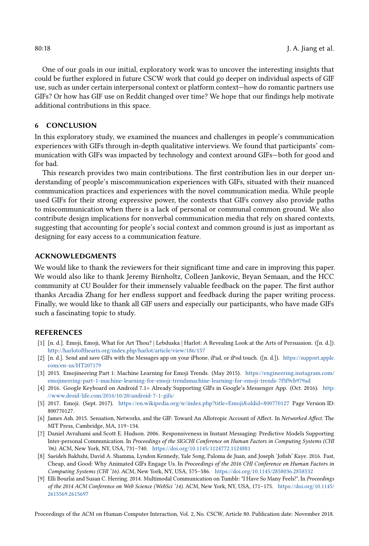One of our goals in our initial, exploratory work was to uncover the interesting insights that could be further explored in future CSCW work that could go deeper on individual aspects of GIF use, such as under certain interpersonal context or platform context—how do romantic partners use GIFs? Or how has GIF use on Reddit changed over time? We hope that our findings help motivate additional contributions in this space.

## 6 CONCLUSION

In this exploratory study, we examined the nuances and challenges in people's communication experiences with GIFs through in-depth qualitative interviews. We found that participants' communication with GIFs was impacted by technology and context around GIFs—both for good and for bad.

This research provides two main contributions. The first contribution lies in our deeper understanding of people's miscommunication experiences with GIFs, situated with their nuanced communication practices and experiences with the novel communication media. While people used GIFs for their strong expressive power, the contexts that GIFs convey also provide paths to miscommunication when there is a lack of personal or communal common ground. We also contribute design implications for nonverbal communication media that rely on shared contexts, suggesting that accounting for people's social context and common ground is just as important as designing for easy access to a communication feature.

## ACKNOWLEDGMENTS

We would like to thank the reviewers for their significant time and care in improving this paper. We would also like to thank Jeremy Birnholtz, Colleen Jankovic, Bryan Semaan, and the HCC community at CU Boulder for their immensely valuable feedback on the paper. The first author thanks Arcadia Zhang for her endless support and feedback during the paper writing process. Finally, we would like to thank all GIF users and especially our participants, who have made GIFs such a fascinating topic to study.

## REFERENCES

- <span id="page-17-4"></span>[1] [n. d.]. Emoji, Emoji, What for Art Thou? | Lebduska | Harlot: A Revealing Look at the Arts of Persuasion. ([n. d.]). <http://harlotofthearts.org/index.php/harlot/article/view/186/157>
- <span id="page-17-6"></span>[2] [n. d.]. Send and save GIFs with the Messages app on your iPhone, iPad, or iPod touch. ([n. d.]). [https://support.apple.](https://support.apple.com/en-us/HT207179) [com/en-us/HT207179](https://support.apple.com/en-us/HT207179)
- <span id="page-17-2"></span>[3] 2015. Emojineering Part 1: Machine Learning for Emoji Trends. (May 2015). [https://engineering.instagram.com/](https://engineering.instagram.com/emojineering-part-1-machine-learning-for-emoji-trendsmachine-learning-for-emoji-trends-7f5f9cb979ad) [emojineering-part-1-machine-learning-for-emoji-trendsmachine-learning-for-emoji-trends-7f5f9cb979ad](https://engineering.instagram.com/emojineering-part-1-machine-learning-for-emoji-trendsmachine-learning-for-emoji-trends-7f5f9cb979ad)
- <span id="page-17-7"></span>[4] 2016. Google Keyboard on Android 7.1+ Already Supporting GIFs in Google's Messenger App. (Oct. 2016). [http:](http://www.droid-life.com/2016/10/20/android-7-1-gifs/) [//www.droid-life.com/2016/10/20/android-7-1-gifs/](http://www.droid-life.com/2016/10/20/android-7-1-gifs/)
- <span id="page-17-3"></span>[5] 2017. Emoji. (Sept. 2017). <https://en.wikipedia.org/w/index.php?title=Emoji&oldid=800770127> Page Version ID: 800770127.
- <span id="page-17-0"></span>[6] James Ash. 2015. Sensation, Networks, and the GIF: Toward An Allotropic Account of Affect. In Networked Affect. The MIT Press, Cambridge, MA, 119–134.
- <span id="page-17-8"></span>[7] Daniel Avrahami and Scott E. Hudson. 2006. Responsiveness in Instant Messaging: Predictive Models Supporting Inter-personal Communication. In Proceedings of the SIGCHI Conference on Human Factors in Computing Systems (CHI '06). ACM, New York, NY, USA, 731–740. <https://doi.org/10.1145/1124772.1124881>
- <span id="page-17-1"></span>[8] Saeideh Bakhshi, David A. Shamma, Lyndon Kennedy, Yale Song, Paloma de Juan, and Joseph 'Jofish' Kaye. 2016. Fast, Cheap, and Good: Why Animated GIFs Engage Us. In Proceedings of the 2016 CHI Conference on Human Factors in Computing Systems (CHI '16). ACM, New York, NY, USA, 575–586. <https://doi.org/10.1145/2858036.2858532>
- <span id="page-17-5"></span>[9] Elli Bourlai and Susan C. Herring. 2014. Multimodal Communication on Tumblr: "I Have So Many Feels!". In Proceedings of the 2014 ACM Conference on Web Science (WebSci '14). ACM, New York, NY, USA, 171–175. [https://doi.org/10.1145/](https://doi.org/10.1145/2615569.2615697) [2615569.2615697](https://doi.org/10.1145/2615569.2615697)

Proceedings of the ACM on Human-Computer Interaction, Vol. 2, No. CSCW, Article 80. Publication date: November 2018.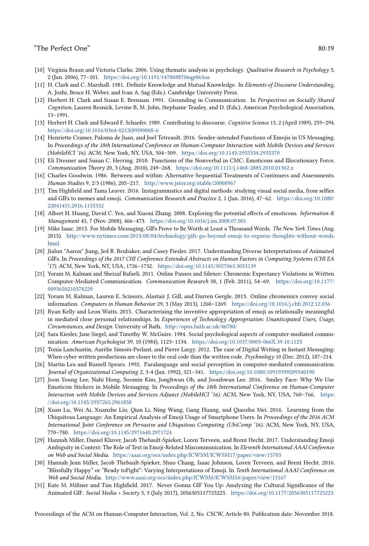- <span id="page-18-17"></span>[10] Virginia Braun and Victoria Clarke. 2006. Using thematic analysis in psychology. Qualitative Research in Psychology 3, 2 (Jan. 2006), 77–101. <https://doi.org/10.1191/1478088706qp063oa>
- <span id="page-18-7"></span>[11] H. Clark and C. Marshall. 1981. Definite Knowledge and Mutual Knowledge. In Elements of Discourse Understanding, A. Joshi, Bruce H. Weber, and Ivan A. Sag (Eds.). Cambridge University Press.
- <span id="page-18-6"></span>[12] Herbert H. Clark and Susan E. Brennan. 1991. Grounding in Communication. In Perspectives on Socially Shared Cognition, Lauren Resnick, Levine B, M. John, Stephanie Teasley, and D. (Eds.). American Psychological Association, 13–1991.
- <span id="page-18-21"></span>[13] Herbert H. Clark and Edward F. Schaefer. 1989. Contributing to discourse. Cognitive Science 13, 2 (April 1989), 259–294. [https://doi.org/10.1016/0364-0213\(89\)90008-6](https://doi.org/10.1016/0364-0213(89)90008-6)
- <span id="page-18-11"></span>[14] Henriette Cramer, Paloma de Juan, and Joel Tetreault. 2016. Sender-intended Functions of Emojis in US Messaging. In Proceedings of the 18th International Conference on Human-Computer Interaction with Mobile Devices and Services (MobileHCI '16). ACM, New York, NY, USA, 504–509. <https://doi.org/10.1145/2935334.2935370>
- <span id="page-18-9"></span>[15] Eli Dresner and Susan C. Herring. 2010. Functions of the Nonverbal in CMC: Emoticons and Illocutionary Force. Communication Theory 20, 3 (Aug. 2010), 249–268. <https://doi.org/10.1111/j.1468-2885.2010.01362.x>
- <span id="page-18-18"></span>[16] Charles Goodwin. 1986. Between and within: Alternative Sequential Treatments of Continuers and Assessments. Human Studies 9, 2/3 (1986), 205–217. <http://www.jstor.org/stable/20008967>
- <span id="page-18-15"></span>[17] Tim Highfield and Tama Leaver. 2016. Instagrammatics and digital methods: studying visual social media, from selfies and GIFs to memes and emoji. Communication Research and Practice 2, 1 (Jan. 2016), 47–62. [https://doi.org/10.1080/](https://doi.org/10.1080/22041451.2016.1155332) [22041451.2016.1155332](https://doi.org/10.1080/22041451.2016.1155332)
- <span id="page-18-8"></span>[18] Albert H. Huang, David C. Yen, and Xiaoni Zhang. 2008. Exploring the potential effects of emoticons. Information & Management 45, 7 (Nov. 2008), 466–473. <https://doi.org/10.1016/j.im.2008.07.001>
- <span id="page-18-1"></span>[19] Mike Isaac. 2015. For Mobile Messaging, GIFs Prove to Be Worth at Least a Thousand Words. The New York Times (Aug. 2015). [http://www.nytimes.com/2015/08/04/technology/gifs-go-beyond-emoji-to-express-thoughts-without-words.](http://www.nytimes.com/2015/08/04/technology/gifs-go-beyond-emoji-to-express-thoughts-without-words.html) [html](http://www.nytimes.com/2015/08/04/technology/gifs-go-beyond-emoji-to-express-thoughts-without-words.html)
- <span id="page-18-3"></span>[20] Jialun "Aaron" Jiang, Jed R. Brubaker, and Casey Fiesler. 2017. Understanding Diverse Interpretations of Animated GIFs. In Proceedings of the 2017 CHI Conference Extended Abstracts on Human Factors in Computing Systems (CHI EA '17). ACM, New York, NY, USA, 1726–1732. <https://doi.org/10.1145/3027063.3053139>
- <span id="page-18-19"></span>[21] Yoram M. Kalman and Sheizaf Rafaeli. 2011. Online Pauses and Silence: Chronemic Expectancy Violations in Written Computer-Mediated Communication. Communication Research 38, 1 (Feb. 2011), 54–69. [https://doi.org/10.1177/](https://doi.org/10.1177/0093650210378229) [0093650210378229](https://doi.org/10.1177/0093650210378229)
- <span id="page-18-20"></span>[22] Yoram M. Kalman, Lauren E. Scissors, Alastair J. Gill, and Darren Gergle. 2013. Online chronemics convey social information. Computers in Human Behavior 29, 3 (May 2013), 1260–1269. <https://doi.org/10.1016/j.chb.2012.12.036>
- <span id="page-18-12"></span>[23] Ryan Kelly and Leon Watts. 2015. Characterising the inventive appropriation of emoji as relationally meaningful in mediated close personal relationships. In Experiences of Technology Appropriation: Unanticipated Users, Usage, Circumstances, and Design. University of Bath. <http://opus.bath.ac.uk/46780/>
- <span id="page-18-4"></span>[24] Sara Kiesler, Jane Siegel, and Timothy W. McGuire. 1984. Social psychological aspects of computer-mediated communication. American Psychologist 39, 10 (1984), 1123–1134. <https://doi.org/10.1037/0003-066X.39.10.1123>
- <span id="page-18-10"></span>[25] Tonia Lanchantin, Aurélie Simoës-Perlant, and Pierre Largy. 2012. The case of Digital Writing in Instant Messaging: When cyber written productions are closer to the oral code than the written code. Psychnology 10 (Dec. 2012), 187–214.
- <span id="page-18-5"></span>[26] Martin Lea and Russell Spears. 1992. Paralanguage and social perception in computer-mediated communication. Journal of Organizational Computing 2, 3-4 (Jan. 1992), 321–341. <https://doi.org/10.1080/10919399209540190>
- <span id="page-18-13"></span>[27] Joon Young Lee, Nahi Hong, Soomin Kim, Jonghwan Oh, and Joonhwan Lee. 2016. Smiley Face: Why We Use Emoticon Stickers in Mobile Messaging. In Proceedings of the 18th International Conference on Human-Computer Interaction with Mobile Devices and Services Adjunct (MobileHCI '16). ACM, New York, NY, USA, 760–766. [https:](https://doi.org/10.1145/2957265.2961858) [//doi.org/10.1145/2957265.2961858](https://doi.org/10.1145/2957265.2961858)
- <span id="page-18-14"></span>[28] Xuan Lu, Wei Ai, Xuanzhe Liu, Qian Li, Ning Wang, Gang Huang, and Qiaozhu Mei. 2016. Learning from the Ubiquitous Language: An Empirical Analysis of Emoji Usage of Smartphone Users. In Proceedings of the 2016 ACM International Joint Conference on Pervasive and Ubiquitous Computing (UbiComp '16). ACM, New York, NY, USA, 770–780. <https://doi.org/10.1145/2971648.2971724>
- <span id="page-18-16"></span>[29] Hannah Miller, Daniel Kluver, Jacob Thebault-Spieker, Loren Terveen, and Brent Hecht. 2017. Understanding Emoji Ambiguity in Context: The Role of Text in Emoji-Related Miscommunication. In Eleventh International AAAI Conference on Web and Social Media. <https://aaai.org/ocs/index.php/ICWSM/ICWSM17/paper/view/15703>
- <span id="page-18-2"></span>[30] Hannah Jean Miller, Jacob Thebault-Spieker, Shuo Chang, Isaac Johnson, Loren Terveen, and Brent Hecht. 2016. "Blissfully Happy" or "Ready toFight": Varying Interpretations of Emoji. In Tenth International AAAI Conference on Web and Social Media. <http://www.aaai.org/ocs/index.php/ICWSM/ICWSM16/paper/view/13167>
- <span id="page-18-0"></span>[31] Kate M. Miltner and Tim Highfield. 2017. Never Gonna GIF You Up: Analyzing the Cultural Significance of the Animated GIF. Social Media + Society 3, 3 (July 2017), 2056305117725223. <https://doi.org/10.1177/2056305117725223>